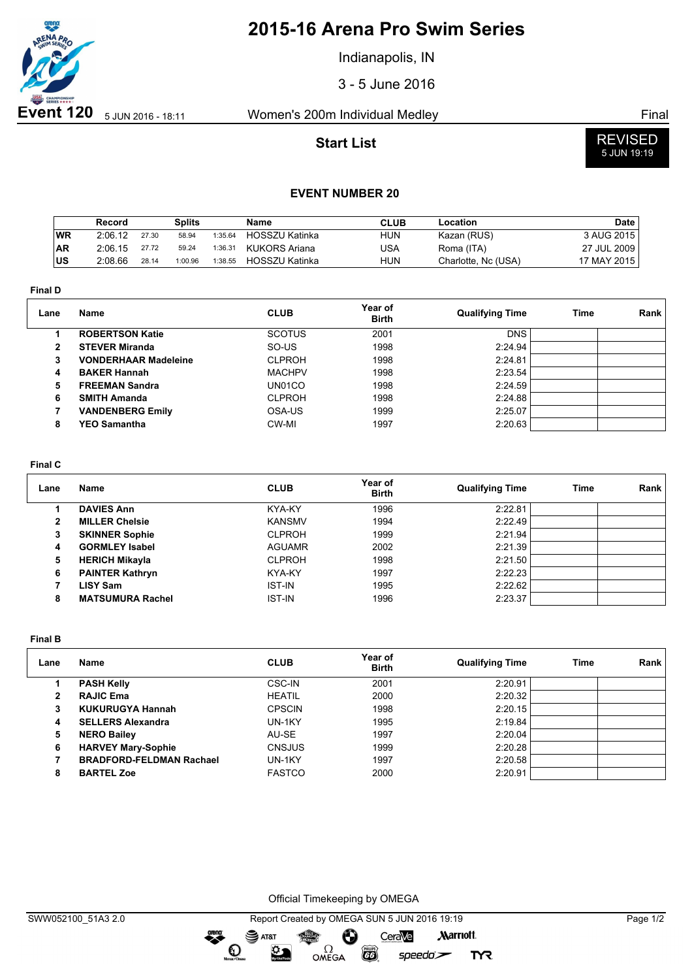

## **2015-16 Arena Pro Swim Series**

Indianapolis, IN

3 - 5 June 2016

### **Start List**



# 5 JUN 19:19

### **EVENT NUMBER 20**

|            | Record  |       | Splits  |         | Name                  | <b>CLUB</b> | Location            | <b>Date</b> |
|------------|---------|-------|---------|---------|-----------------------|-------------|---------------------|-------------|
| <b>WR</b>  | 2:06.12 | 27.30 | 58.94   | 1:35.64 | <b>HOSSZU Katinka</b> | <b>HUN</b>  | Kazan (RUS)         | 3 AUG 2015  |
| <b>AR</b>  | 2:06.15 | 27.72 | 59.24   | 1:36.31 | KUKORS Ariana         | USA         | Roma (ITA)          | 27 JUL 2009 |
| <b>IUS</b> | 2:08.66 | 28.14 | 1:00.96 | 1:38.55 | <b>HOSSZU Katinka</b> | <b>HUN</b>  | Charlotte, Nc (USA) | 17 MAY 2015 |

**Final D**

| Lane | Name                        | <b>CLUB</b>   | Year of<br><b>Birth</b> | <b>Qualifying Time</b> | Time | Rank |
|------|-----------------------------|---------------|-------------------------|------------------------|------|------|
|      | <b>ROBERTSON Katie</b>      | <b>SCOTUS</b> | 2001                    | <b>DNS</b>             |      |      |
| 2    | <b>STEVER Miranda</b>       | SO-US         | 1998                    | 2:24.94                |      |      |
| 3    | <b>VONDERHAAR Madeleine</b> | <b>CLPROH</b> | 1998                    | 2:24.81                |      |      |
| 4    | <b>BAKER Hannah</b>         | <b>MACHPV</b> | 1998                    | 2:23.54                |      |      |
| 5    | <b>FREEMAN Sandra</b>       | UN01CO        | 1998                    | 2:24.59                |      |      |
| 6    | <b>SMITH Amanda</b>         | <b>CLPROH</b> | 1998                    | 2:24.88                |      |      |
|      | <b>VANDENBERG Emily</b>     | OSA-US        | 1999                    | 2:25.07                |      |      |
| 8    | <b>YEO Samantha</b>         | CW-MI         | 1997                    | 2:20.63                |      |      |

#### **Final C**

| Lane | Name                    | <b>CLUB</b>   | Year of<br><b>Birth</b> | <b>Qualifying Time</b> | Time | Rank |
|------|-------------------------|---------------|-------------------------|------------------------|------|------|
|      | <b>DAVIES Ann</b>       | KYA-KY        | 1996                    | 2:22.81                |      |      |
| 2    | <b>MILLER Chelsie</b>   | <b>KANSMV</b> | 1994                    | 2:22.49                |      |      |
| 3    | <b>SKINNER Sophie</b>   | <b>CLPROH</b> | 1999                    | 2:21.94                |      |      |
| 4    | <b>GORMLEY Isabel</b>   | <b>AGUAMR</b> | 2002                    | 2:21.39                |      |      |
| 5    | <b>HERICH Mikayla</b>   | <b>CLPROH</b> | 1998                    | 2:21.50                |      |      |
| 6    | <b>PAINTER Kathryn</b>  | KYA-KY        | 1997                    | 2:22.23                |      |      |
|      | <b>LISY Sam</b>         | <b>IST-IN</b> | 1995                    | 2:22.62                |      |      |
| 8    | <b>MATSUMURA Rachel</b> | <b>IST-IN</b> | 1996                    | 2:23.37                |      |      |

**Final B**

| Lane | <b>Name</b>                     | <b>CLUB</b>   | Year of<br><b>Birth</b> | <b>Qualifying Time</b> | <b>Time</b> | Rank |
|------|---------------------------------|---------------|-------------------------|------------------------|-------------|------|
|      | <b>PASH Kelly</b>               | <b>CSC-IN</b> | 2001                    | 2:20.91                |             |      |
| 2    | <b>RAJIC Ema</b>                | <b>HEATIL</b> | 2000                    | 2:20.32                |             |      |
| 3    | <b>KUKURUGYA Hannah</b>         | <b>CPSCIN</b> | 1998                    | 2:20.15                |             |      |
| 4    | <b>SELLERS Alexandra</b>        | UN-1KY        | 1995                    | 2:19.84                |             |      |
| 5    | <b>NERO Bailey</b>              | AU-SE         | 1997                    | 2:20.04                |             |      |
| 6    | <b>HARVEY Mary-Sophie</b>       | <b>CNSJUS</b> | 1999                    | 2:20.28                |             |      |
|      | <b>BRADFORD-FELDMAN Rachael</b> | UN-1KY        | 1997                    | 2:20.58                |             |      |
| 8    | <b>BARTEL Zoe</b>               | <b>FASTCO</b> | 2000                    | 2:20.91                |             |      |

Official Timekeeping by OMEGA

OMEGA

greng:

 $\mathbf{O}$ 

SAT&T

 $\mathfrak{D}$ 

 $speedo$ 

**TYR** 

 $\overline{G}$